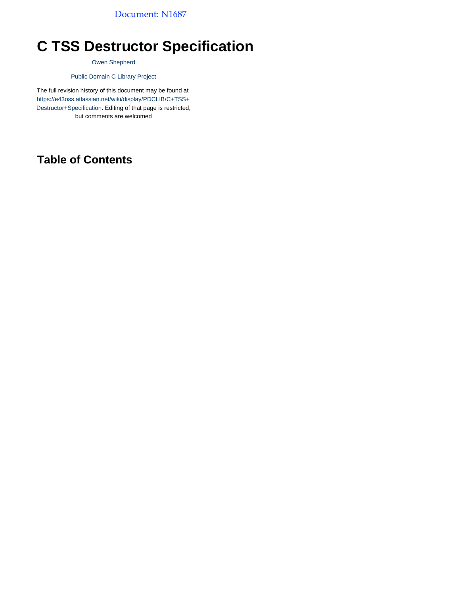Document: N1687

# <span id="page-0-0"></span>**C TSS Destructor Specification**

[Owen Shepherd](http://www.owenshepherd.net/)

[Public Domain C Library Project](http://pdclib.e43.eu/)

The full revision history of this document may be found at [https://e43oss.atlassian.net/wiki/display/PDCLIB/C+TSS+](#page-0-0) [Destructor+Specification](#page-0-0). Editing of that page is restricted, but comments are welcomed

### <span id="page-0-1"></span>**Table of Contents**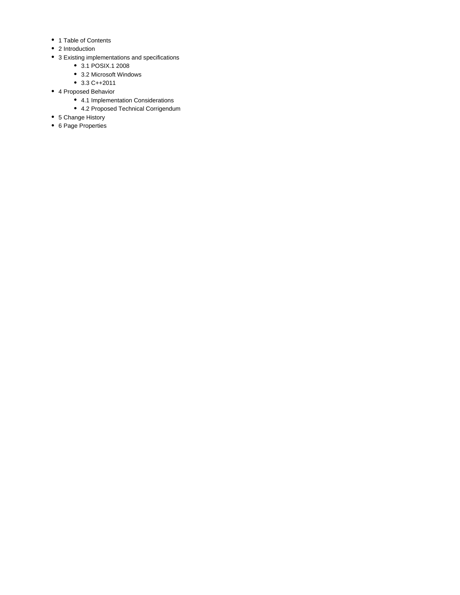- 1 [Table of Contents](#page-0-1)
- 2 [Introduction](#page-2-0)
- 3 [Existing implementations and specifications](#page-2-1)
	- 3.1 [POSIX.1 2008](#page-2-2)
	- 3.2 [Microsoft Windows](#page-2-3)
	- $3.3 C++2011$  $3.3 C++2011$
- 4 [Proposed Behavior](#page-3-1)
	- 4.1 [Implementation Considerations](#page-3-2)
	- 4.2 [Proposed Technical Corrigendum](#page-4-0)
- 5 [Change History](#page-5-0)
- 6 [Page Properties](#page-5-1)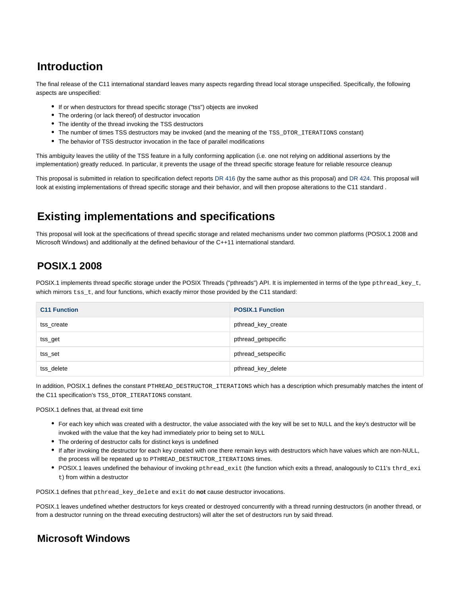### <span id="page-2-0"></span>**Introduction**

The final release of the C11 international standard leaves many aspects regarding thread local storage unspecified. Specifically, the following aspects are unspecified:

- If or when destructors for thread specific storage ("tss") objects are invoked
- The ordering (or lack thereof) of destructor invocation
- The identity of the thread invoking the TSS destructors
- The number of times TSS destructors may be invoked (and the meaning of the TSS\_DTOR\_ITERATIONS constant)
- The behavior of TSS destructor invocation in the face of parallel modifications

This ambiguity leaves the utility of the TSS feature in a fully conforming application (i.e. one not relying on additional assertions by the implementation) greatly reduced. In particular, it prevents the usage of the thread specific storage feature for reliable resource cleanup

This proposal is submitted in relation to specification defect reports [DR 416](http://open-std.org/JTC1/SC22/WG14/www/docs/dr_416.htm) (by the same author as this proposal) and [DR 424](http://open-std.org/JTC1/SC22/WG14/www/docs/dr_424.htm). This proposal will look at existing implementations of thread specific storage and their behavior, and will then propose alterations to the C11 standard .

## <span id="page-2-1"></span>**Existing implementations and specifications**

This proposal will look at the specifications of thread specific storage and related mechanisms under two common platforms (POSIX.1 2008 and Microsoft Windows) and additionally at the defined behaviour of the C++11 international standard.

### <span id="page-2-2"></span>**POSIX.1 2008**

POSIX.1 implements thread specific storage under the POSIX Threads ("pthreads") API. It is implemented in terms of the type pthread\_key\_t, which mirrors  $\text{ts}_t$ , and four functions, which exactly mirror those provided by the C11 standard:

| <b>C11 Function</b> | <b>POSIX.1 Function</b> |
|---------------------|-------------------------|
| tss create          | pthread key create      |
| tss_get             | pthread_getspecific     |
| tss_set             | pthread_setspecific     |
| tss delete          | pthread_key_delete      |

In addition, POSIX.1 defines the constant PTHREAD\_DESTRUCTOR\_ITERATIONS which has a description which presumably matches the intent of the C11 specification's TSS\_DTOR\_ITERATIONS constant.

POSIX.1 defines that, at thread exit time

- For each key which was created with a destructor, the value associated with the key will be set to NULL and the key's destructor will be invoked with the value that the key had immediately prior to being set to NULL
- The ordering of destructor calls for distinct keys is undefined
- If after invoking the destructor for each key created with one there remain keys with destructors which have values which are non-NULL, the process will be repeated up to PTHREAD\_DESTRUCTOR\_ITERATIONS times.
- POSIX.1 leaves undefined the behaviour of invoking pthread\_exit (the function which exits a thread, analogously to C11's thrd\_exi t) from within a destructor

POSIX.1 defines that pthread\_key\_delete and exit do **not** cause destructor invocations.

POSIX.1 leaves undefined whether destructors for keys created or destroyed concurrently with a thread running destructors (in another thread, or from a destructor running on the thread executing destructors) will alter the set of destructors run by said thread.

#### <span id="page-2-3"></span>**Microsoft Windows**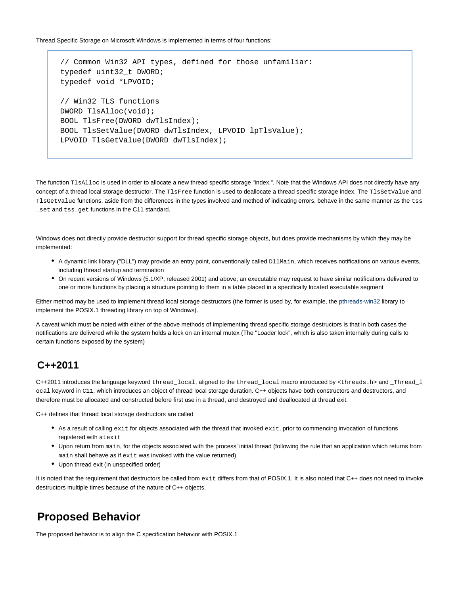Thread Specific Storage on Microsoft Windows is implemented in terms of four functions:

```
// Common Win32 API types, defined for those unfamiliar:
typedef uint32_t DWORD;
typedef void *LPVOID;
// Win32 TLS functions
DWORD TlsAlloc(void);
BOOL TlsFree(DWORD dwTlsIndex);
BOOL TlsSetValue(DWORD dwTlsIndex, LPVOID lpTlsValue);
LPVOID TlsGetValue(DWORD dwTlsIndex);
```
The function TlsAlloc is used in order to allocate a new thread specific storage "index.", Note that the Windows API does not directly have any concept of a thread local storage destructor. The TlsFree function is used to deallocate a thread specific storage index. The TlsSetValue and TlsGetValue functions, aside from the differences in the types involved and method of indicating errors, behave in the same manner as the tss \_set and tss\_get functions in the C11 standard.

Windows does not directly provide destructor support for thread specific storage objects, but does provide mechanisms by which they may be implemented:

- A dynamic link library ("DLL") may provide an entry point, conventionally called DllMain, which receives notifications on various events, including thread startup and termination
- On recent versions of Windows (5.1/XP, released 2001) and above, an executable may request to have similar notifications delivered to one or more functions by placing a structure pointing to them in a table placed in a specifically located executable segment

Either method may be used to implement thread local storage destructors (the former is used by, for example, the [pthreads-win32](http://www.sourceware.org/pthreads-win32/) library to implement the POSIX.1 threading library on top of Windows).

A caveat which must be noted with either of the above methods of implementing thread specific storage destructors is that in both cases the notifications are delivered while the system holds a lock on an internal mutex (The "Loader lock", which is also taken internally during calls to certain functions exposed by the system)

#### <span id="page-3-0"></span>**C++2011**

C++2011 introduces the language keyword thread\_local, aligned to the thread\_local macro introduced by <threads.h> and \_Thread\_l ocal keyword in C11, which introduces an object of thread local storage duration. C++ objects have both constructors and destructors, and therefore must be allocated and constructed before first use in a thread, and destroyed and deallocated at thread exit.

C++ defines that thread local storage destructors are called

- As a result of calling  $ext{exit}$  for objects associated with the thread that invoked  $ext{exit}$ , prior to commencing invocation of functions registered with atexit
- Upon return from main, for the objects associated with the process' initial thread (following the rule that an application which returns from main shall behave as if exit was invoked with the value returned)
- Upon thread exit (in unspecified order)

It is noted that the requirement that destructors be called from exit differs from that of POSIX.1. It is also noted that C++ does not need to invoke destructors multiple times because of the nature of C++ objects.

### <span id="page-3-1"></span>**Proposed Behavior**

<span id="page-3-2"></span>The proposed behavior is to align the C specification behavior with POSIX.1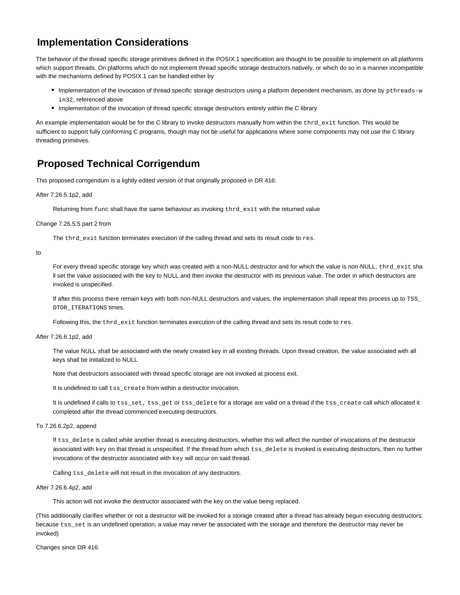#### **Implementation Considerations**

The behavior of the thread specific storage primitives defined in the POSIX.1 specification are thought to be possible to implement on all platforms which support threads. On platforms which do not implement thread specific storage destructors natively, or which do so in a manner incompatible with the mechanisms defined by POSIX.1 can be handled either by

- Implementation of the invocation of thread specific storage destructors using a platform dependent mechanism, as done by pthreads-w in32, referenced above
- Implementation of the invocation of thread specific storage destructors entirely within the C library

An example implementation would be for the C library to invoke destructors manually from within the thrd\_exit function. This would be sufficient to support fully conforming C programs, though may not be useful for applications where some components may not use the C library threading primitives.

#### <span id="page-4-0"></span>**Proposed Technical Corrigendum**

This proposed corrigendum is a lightly edited version of that originally proposed in DR 416:

After 7.26.5.1p2, add

Returning from func shall have the same behaviour as invoking thrd\_exit with the returned value

Change 7.26.5.5 part 2 from

The thrd\_exit function terminates execution of the calling thread and sets its result code to res.

to

For every thread specific storage key which was created with a non-NULL destructor and for which the value is non-NULL, thrd exit sha ll set the value associated with the key to NULL and then invoke the destructor with its previous value. The order in which destructors are invoked is unspecified.

If after this process there remain keys with both non-NULL destructors and values, the implementation shall repeat this process up to TSS\_ DTOR\_ITERATIONS times.

Following this, the  $that$ -exit function terminates execution of the calling thread and sets its result code to  $res.$ 

After 7.26.6.1p2, add

The value NULL shall be associated with the newly created key in all existing threads. Upon thread creation, the value associated with all keys shall be initialized to NULL

Note that destructors associated with thread specific storage are not invoked at process exit.

It is undefined to call tss\_create from within a destructor invocation.

It is undefined if calls to tss set, tss get or tss delete for a storage are valid on a thread if the tss create call which allocated it completed after the thread commenced executing destructors.

To 7.26.6.2p2, append

If tss\_delete is called while another thread is executing destructors, whether this will affect the number of invocations of the destructor associated with key on that thread is unspecified. If the thread from which tss\_delete is invoked is executing destructors, then no further invocations of the destructor associated with key will occur on said thread.

Calling tss\_delete will not result in the invocation of any destructors.

After 7.26.6.4p2, add

This action will not invoke the destructor associated with the key on the value being replaced.

(This additionally clarifies whether or not a destructor will be invoked for a storage created after a thread has already begun executing destructors: because tss\_set is an undefined operation, a value may never be associated with the storage and therefore the destructor may never be invoked)

Changes since DR 416: